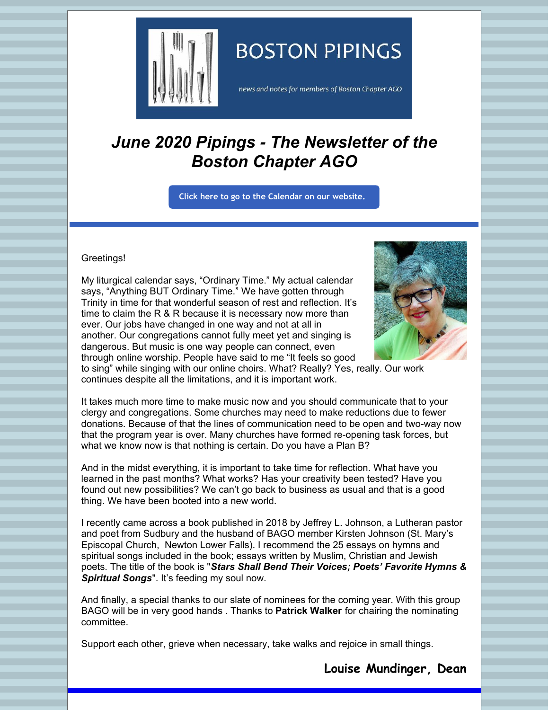

# **BOSTON PIPINGS**

news and notes for members of Boston Chapter AGO

# *June 2020 Pipings - The Newsletter of the Boston Chapter AGO*

**Click here to go to the [Calendar](http://www.bostonago.org/calendar-2/) on our website.**

#### Greetings!

My liturgical calendar says, "Ordinary Time." My actual calendar says, "Anything BUT Ordinary Time." We have gotten through Trinity in time for that wonderful season of rest and reflection. It's time to claim the R & R because it is necessary now more than ever. Our jobs have changed in one way and not at all in another. Our congregations cannot fully meet yet and singing is dangerous. But music is one way people can connect, even through online worship. People have said to me "It feels so good



to sing" while singing with our online choirs. What? Really? Yes, really. Our work continues despite all the limitations, and it is important work.

It takes much more time to make music now and you should communicate that to your clergy and congregations. Some churches may need to make reductions due to fewer donations. Because of that the lines of communication need to be open and two-way now that the program year is over. Many churches have formed re-opening task forces, but what we know now is that nothing is certain. Do you have a Plan B?

And in the midst everything, it is important to take time for reflection. What have you learned in the past months? What works? Has your creativity been tested? Have you found out new possibilities? We can't go back to business as usual and that is a good thing. We have been booted into a new world.

I recently came across a book published in 2018 by Jeffrey L. Johnson, a Lutheran pastor and poet from Sudbury and the husband of BAGO member Kirsten Johnson (St. Mary's Episcopal Church, Newton Lower Falls). I recommend the 25 essays on hymns and spiritual songs included in the book; essays written by Muslim, Christian and Jewish poets. The title of the book is "*Stars Shall Bend Their Voices; Poets' Favorite Hymns & Spiritual Songs*". It's feeding my soul now.

And finally, a special thanks to our slate of nominees for the coming year. With this group BAGO will be in very good hands . Thanks to **Patrick Walker** for chairing the nominating committee.

Support each other, grieve when necessary, take walks and rejoice in small things.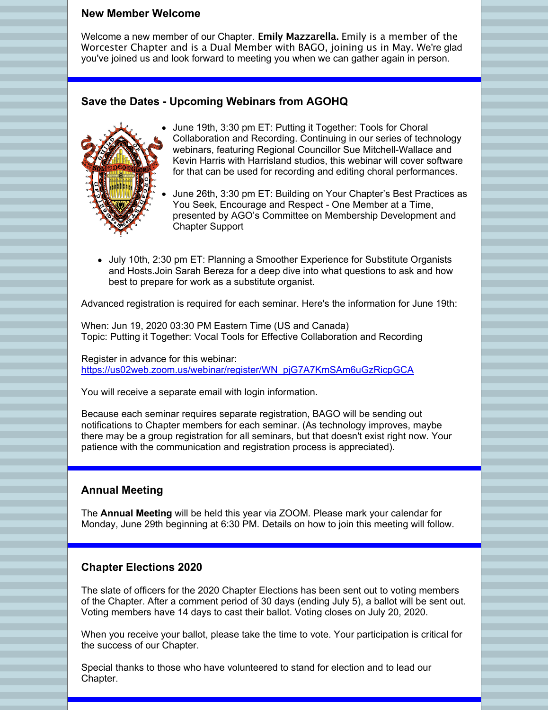#### **New Member Welcome**

Welcome a new member of our Chapter. Emily Mazzarella. Emily is a member of the Worcester Chapter and is a Dual Member with BAGO, joining us in May. We're glad you've joined us and look forward to meeting you when we can gather again in person.

### **Save the Dates - Upcoming Webinars from AGOHQ**



- June 19th, 3:30 pm ET: Putting it Together: Tools for Choral Collaboration and Recording. Continuing in our series of technology webinars, featuring Regional Councillor Sue Mitchell-Wallace and Kevin Harris with Harrisland studios, this webinar will cover software for that can be used for recording and editing choral performances.
- June 26th, 3:30 pm ET: Building on Your Chapter's Best Practices as You Seek, Encourage and Respect - One Member at a Time, presented by AGO's Committee on Membership Development and Chapter Support
- July 10th, 2:30 pm ET: Planning a Smoother Experience for Substitute Organists and Hosts.Join Sarah Bereza for a deep dive into what questions to ask and how best to prepare for work as a substitute organist.

Advanced registration is required for each seminar. Here's the information for June 19th:

When: Jun 19, 2020 03:30 PM Eastern Time (US and Canada) Topic: Putting it Together: Vocal Tools for Effective Collaboration and Recording

Register in advance for this webinar: [https://us02web.zoom.us/webinar/register/WN\\_pjG7A7KmSAm6uGzRicpGCA](https://us02web.zoom.us/webinar/register/WN_pjG7A7KmSAm6uGzRicpGCA)

You will receive a separate email with login information.

Because each seminar requires separate registration, BAGO will be sending out notifications to Chapter members for each seminar. (As technology improves, maybe there may be a group registration for all seminars, but that doesn't exist right now. Your patience with the communication and registration process is appreciated).

### **Annual Meeting**

The **Annual Meeting** will be held this year via ZOOM. Please mark your calendar for Monday, June 29th beginning at 6:30 PM. Details on how to join this meeting will follow.

### **Chapter Elections 2020**

The slate of officers for the 2020 Chapter Elections has been sent out to voting members of the Chapter. After a comment period of 30 days (ending July 5), a ballot will be sent out. Voting members have 14 days to cast their ballot. Voting closes on July 20, 2020.

When you receive your ballot, please take the time to vote. Your participation is critical for the success of our Chapter.

Special thanks to those who have volunteered to stand for election and to lead our Chapter.